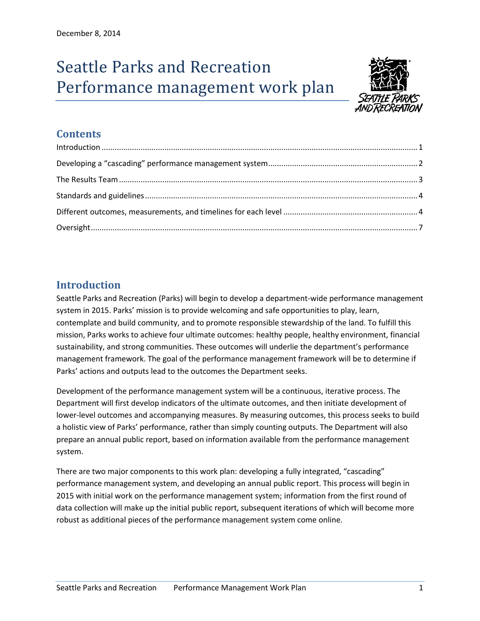# Seattle Parks and Recreation Performance management work plan



## **Contents**

## <span id="page-0-0"></span>**Introduction**

Seattle Parks and Recreation (Parks) will begin to develop a department-wide performance management system in 2015. Parks' mission is to provide welcoming and safe opportunities to play, learn, contemplate and build community, and to promote responsible stewardship of the land. To fulfill this mission, Parks works to achieve four ultimate outcomes: healthy people, healthy environment, financial sustainability, and strong communities. These outcomes will underlie the department's performance management framework. The goal of the performance management framework will be to determine if Parks' actions and outputs lead to the outcomes the Department seeks.

Development of the performance management system will be a continuous, iterative process. The Department will first develop indicators of the ultimate outcomes, and then initiate development of lower-level outcomes and accompanying measures. By measuring outcomes, this process seeks to build a holistic view of Parks' performance, rather than simply counting outputs. The Department will also prepare an annual public report, based on information available from the performance management system.

There are two major components to this work plan: developing a fully integrated, "cascading" performance management system, and developing an annual public report. This process will begin in 2015 with initial work on the performance management system; information from the first round of data collection will make up the initial public report, subsequent iterations of which will become more robust as additional pieces of the performance management system come online.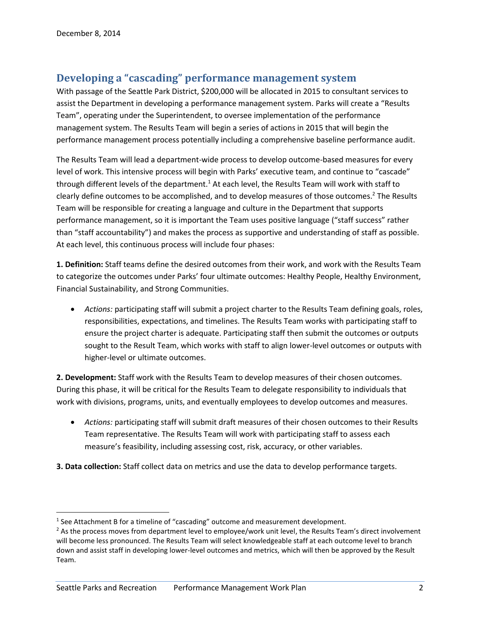l

## <span id="page-1-0"></span>**Developing a "cascading" performance management system**

With passage of the Seattle Park District, \$200,000 will be allocated in 2015 to consultant services to assist the Department in developing a performance management system. Parks will create a "Results Team", operating under the Superintendent, to oversee implementation of the performance management system. The Results Team will begin a series of actions in 2015 that will begin the performance management process potentially including a comprehensive baseline performance audit.

The Results Team will lead a department-wide process to develop outcome-based measures for every level of work. This intensive process will begin with Parks' executive team, and continue to "cascade" through different levels of the department.<sup>1</sup> At each level, the Results Team will work with staff to clearly define outcomes to be accomplished, and to develop measures of those outcomes. <sup>2</sup> The Results Team will be responsible for creating a language and culture in the Department that supports performance management, so it is important the Team uses positive language ("staff success" rather than "staff accountability") and makes the process as supportive and understanding of staff as possible. At each level, this continuous process will include four phases:

**1. Definition:** Staff teams define the desired outcomes from their work, and work with the Results Team to categorize the outcomes under Parks' four ultimate outcomes: Healthy People, Healthy Environment, Financial Sustainability, and Strong Communities.

 *Actions:* participating staff will submit a project charter to the Results Team defining goals, roles, responsibilities, expectations, and timelines. The Results Team works with participating staff to ensure the project charter is adequate. Participating staff then submit the outcomes or outputs sought to the Result Team, which works with staff to align lower-level outcomes or outputs with higher-level or ultimate outcomes.

**2. Development:** Staff work with the Results Team to develop measures of their chosen outcomes. During this phase, it will be critical for the Results Team to delegate responsibility to individuals that work with divisions, programs, units, and eventually employees to develop outcomes and measures.

 *Actions:* participating staff will submit draft measures of their chosen outcomes to their Results Team representative. The Results Team will work with participating staff to assess each measure's feasibility, including assessing cost, risk, accuracy, or other variables.

**3. Data collection:** Staff collect data on metrics and use the data to develop performance targets.

<sup>&</sup>lt;sup>1</sup> See Attachment B for a timeline of "cascading" outcome and measurement development.

<sup>&</sup>lt;sup>2</sup> As the process moves from department level to employee/work unit level, the Results Team's direct involvement will become less pronounced. The Results Team will select knowledgeable staff at each outcome level to branch down and assist staff in developing lower-level outcomes and metrics, which will then be approved by the Result Team.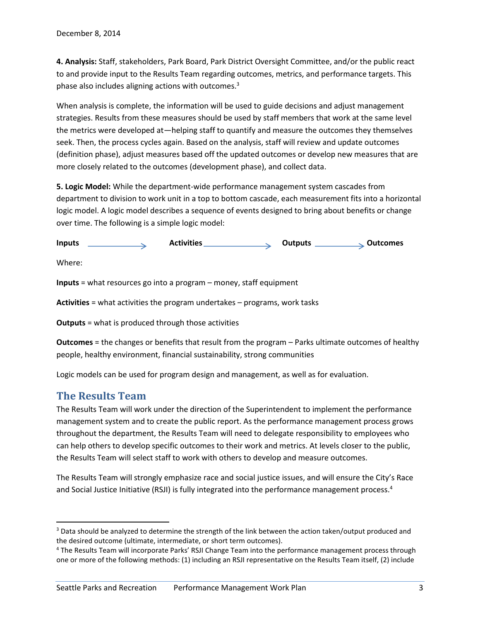**4. Analysis:** Staff, stakeholders, Park Board, Park District Oversight Committee, and/or the public react to and provide input to the Results Team regarding outcomes, metrics, and performance targets. This phase also includes aligning actions with outcomes.<sup>3</sup>

When analysis is complete, the information will be used to guide decisions and adjust management strategies. Results from these measures should be used by staff members that work at the same level the metrics were developed at—helping staff to quantify and measure the outcomes they themselves seek. Then, the process cycles again. Based on the analysis, staff will review and update outcomes (definition phase), adjust measures based off the updated outcomes or develop new measures that are more closely related to the outcomes (development phase), and collect data.

**5. Logic Model:** While the department-wide performance management system cascades from department to division to work unit in a top to bottom cascade, each measurement fits into a horizontal logic model. A logic model describes a sequence of events designed to bring about benefits or change over time. The following is a simple logic model:

| <b>Inputs</b> | <b>Activities</b> | Outputs | <b>Outcomes</b> |
|---------------|-------------------|---------|-----------------|
| Where:        |                   |         |                 |

**Inputs** = what resources go into a program – money, staff equipment

**Activities** = what activities the program undertakes – programs, work tasks

**Outputs** = what is produced through those activities

**Outcomes** = the changes or benefits that result from the program – Parks ultimate outcomes of healthy people, healthy environment, financial sustainability, strong communities

Logic models can be used for program design and management, as well as for evaluation.

#### <span id="page-2-0"></span>**The Results Team**

 $\overline{a}$ 

The Results Team will work under the direction of the Superintendent to implement the performance management system and to create the public report. As the performance management process grows throughout the department, the Results Team will need to delegate responsibility to employees who can help others to develop specific outcomes to their work and metrics. At levels closer to the public, the Results Team will select staff to work with others to develop and measure outcomes.

The Results Team will strongly emphasize race and social justice issues, and will ensure the City's Race and Social Justice Initiative (RSJI) is fully integrated into the performance management process.<sup>4</sup>

<sup>&</sup>lt;sup>3</sup> Data should be analyzed to determine the strength of the link between the action taken/output produced and the desired outcome (ultimate, intermediate, or short term outcomes).

<sup>4</sup> The Results Team will incorporate Parks' RSJI Change Team into the performance management process through one or more of the following methods: (1) including an RSJI representative on the Results Team itself, (2) include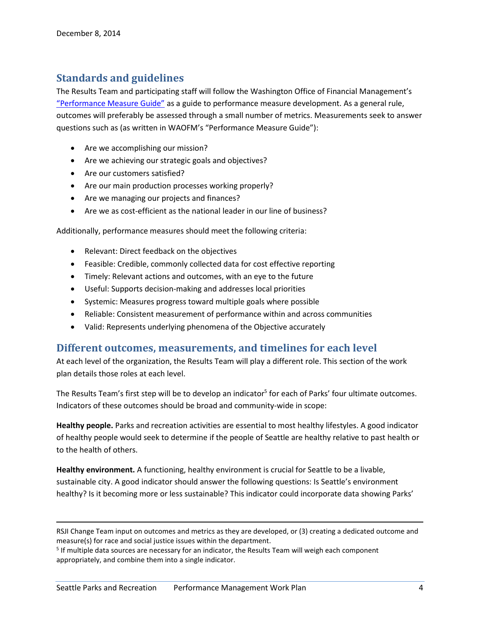$\overline{a}$ 

# <span id="page-3-0"></span>**Standards and guidelines**

The Results Team and participating staff will follow the Washington Office of Financial Management's ["Performance Measure Guide"](http://www.ofm.wa.gov/budget/instructions/other/performancemeasureguide.pdf) as a guide to performance measure development. As a general rule, outcomes will preferably be assessed through a small number of metrics. Measurements seek to answer questions such as (as written in WAOFM's "Performance Measure Guide"):

- Are we accomplishing our mission?
- Are we achieving our strategic goals and objectives?
- Are our customers satisfied?
- Are our main production processes working properly?
- Are we managing our projects and finances?
- Are we as cost-efficient as the national leader in our line of business?

Additionally, performance measures should meet the following criteria:

- Relevant: Direct feedback on the objectives
- Feasible: Credible, commonly collected data for cost effective reporting
- Timely: Relevant actions and outcomes, with an eye to the future
- Useful: Supports decision-making and addresses local priorities
- Systemic: Measures progress toward multiple goals where possible
- Reliable: Consistent measurement of performance within and across communities
- Valid: Represents underlying phenomena of the Objective accurately

#### <span id="page-3-1"></span>**Different outcomes, measurements, and timelines for each level**

At each level of the organization, the Results Team will play a different role. This section of the work plan details those roles at each level.

The Results Team's first step will be to develop an indicator<sup>5</sup> for each of Parks' four ultimate outcomes. Indicators of these outcomes should be broad and community-wide in scope:

**Healthy people.** Parks and recreation activities are essential to most healthy lifestyles. A good indicator of healthy people would seek to determine if the people of Seattle are healthy relative to past health or to the health of others.

**Healthy environment.** A functioning, healthy environment is crucial for Seattle to be a livable, sustainable city. A good indicator should answer the following questions: Is Seattle's environment healthy? Is it becoming more or less sustainable? This indicator could incorporate data showing Parks'

RSJI Change Team input on outcomes and metrics as they are developed, or (3) creating a dedicated outcome and measure(s) for race and social justice issues within the department.

<sup>&</sup>lt;sup>5</sup> If multiple data sources are necessary for an indicator, the Results Team will weigh each component appropriately, and combine them into a single indicator.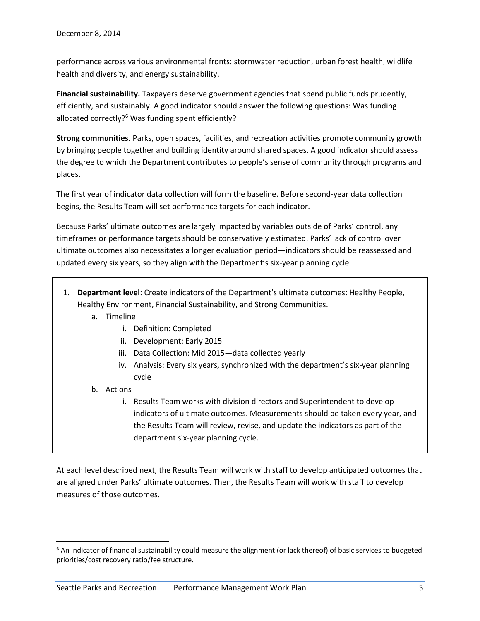performance across various environmental fronts: stormwater reduction, urban forest health, wildlife health and diversity, and energy sustainability.

**Financial sustainability.** Taxpayers deserve government agencies that spend public funds prudently, efficiently, and sustainably. A good indicator should answer the following questions: Was funding allocated correctly?<sup>6</sup> Was funding spent efficiently?

**Strong communities.** Parks, open spaces, facilities, and recreation activities promote community growth by bringing people together and building identity around shared spaces. A good indicator should assess the degree to which the Department contributes to people's sense of community through programs and places.

The first year of indicator data collection will form the baseline. Before second-year data collection begins, the Results Team will set performance targets for each indicator.

Because Parks' ultimate outcomes are largely impacted by variables outside of Parks' control, any timeframes or performance targets should be conservatively estimated. Parks' lack of control over ultimate outcomes also necessitates a longer evaluation period—indicators should be reassessed and updated every six years, so they align with the Department's six-year planning cycle.

- 1. **Department level**: Create indicators of the Department's ultimate outcomes: Healthy People, Healthy Environment, Financial Sustainability, and Strong Communities.
	- a. Timeline
		- i. Definition: Completed
		- ii. Development: Early 2015
		- iii. Data Collection: Mid 2015—data collected yearly
		- iv. Analysis: Every six years, synchronized with the department's six-year planning cycle
	- b. Actions

l

i. Results Team works with division directors and Superintendent to develop indicators of ultimate outcomes. Measurements should be taken every year, and the Results Team will review, revise, and update the indicators as part of the department six-year planning cycle.

At each level described next, the Results Team will work with staff to develop anticipated outcomes that are aligned under Parks' ultimate outcomes. Then, the Results Team will work with staff to develop measures of those outcomes.

 $6$  An indicator of financial sustainability could measure the alignment (or lack thereof) of basic services to budgeted priorities/cost recovery ratio/fee structure.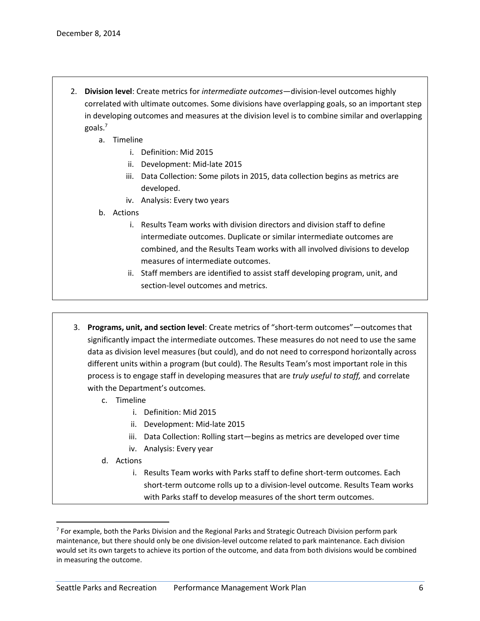- 2. **Division level**: Create metrics for *intermediate outcomes*—division-level outcomes highly correlated with ultimate outcomes. Some divisions have overlapping goals, so an important step in developing outcomes and measures at the division level is to combine similar and overlapping goals.<sup>7</sup>
	- a. Timeline
		- i. Definition: Mid 2015
		- ii. Development: Mid-late 2015
		- iii. Data Collection: Some pilots in 2015, data collection begins as metrics are developed.
		- iv. Analysis: Every two years
	- b. Actions
		- i. Results Team works with division directors and division staff to define intermediate outcomes. Duplicate or similar intermediate outcomes are combined, and the Results Team works with all involved divisions to develop measures of intermediate outcomes.
		- ii. Staff members are identified to assist staff developing program, unit, and section-level outcomes and metrics.
- 3. **Programs, unit, and section level**: Create metrics of "short-term outcomes"—outcomes that significantly impact the intermediate outcomes. These measures do not need to use the same data as division level measures (but could), and do not need to correspond horizontally across different units within a program (but could). The Results Team's most important role in this process is to engage staff in developing measures that are *truly useful to staff,* and correlate with the Department's outcomes*.*
	- c. Timeline
		- i. Definition: Mid 2015
		- ii. Development: Mid-late 2015
		- iii. Data Collection: Rolling start—begins as metrics are developed over time
		- iv. Analysis: Every year
	- d. Actions

 $\overline{a}$ 

i. Results Team works with Parks staff to define short-term outcomes. Each short-term outcome rolls up to a division-level outcome. Results Team works with Parks staff to develop measures of the short term outcomes.

<sup>&</sup>lt;sup>7</sup> For example, both the Parks Division and the Regional Parks and Strategic Outreach Division perform park maintenance, but there should only be one division-level outcome related to park maintenance. Each division would set its own targets to achieve its portion of the outcome, and data from both divisions would be combined in measuring the outcome.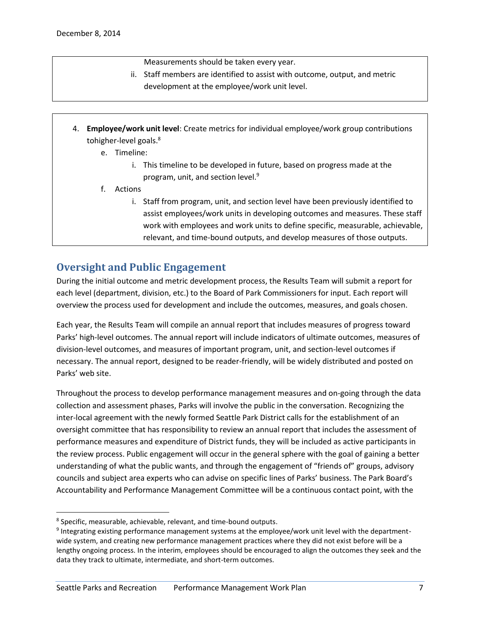Measurements should be taken every year.

- ii. Staff members are identified to assist with outcome, output, and metric development at the employee/work unit level.
- 4. **Employee/work unit level**: Create metrics for individual employee/work group contributions tohigher-level goals.<sup>8</sup>
	- e. Timeline:
		- i. This timeline to be developed in future, based on progress made at the program, unit, and section level.<sup>9</sup>
	- f. Actions
		- i. Staff from program, unit, and section level have been previously identified to assist employees/work units in developing outcomes and measures. These staff work with employees and work units to define specific, measurable, achievable, relevant, and time-bound outputs, and develop measures of those outputs.

## <span id="page-6-0"></span>**Oversight and Public Engagement**

During the initial outcome and metric development process, the Results Team will submit a report for each level (department, division, etc.) to the Board of Park Commissioners for input. Each report will overview the process used for development and include the outcomes, measures, and goals chosen.

Each year, the Results Team will compile an annual report that includes measures of progress toward Parks' high-level outcomes. The annual report will include indicators of ultimate outcomes, measures of division-level outcomes, and measures of important program, unit, and section-level outcomes if necessary. The annual report, designed to be reader-friendly, will be widely distributed and posted on Parks' web site.

Throughout the process to develop performance management measures and on-going through the data collection and assessment phases, Parks will involve the public in the conversation. Recognizing the inter-local agreement with the newly formed Seattle Park District calls for the establishment of an oversight committee that has responsibility to review an annual report that includes the assessment of performance measures and expenditure of District funds, they will be included as active participants in the review process. Public engagement will occur in the general sphere with the goal of gaining a better understanding of what the public wants, and through the engagement of "friends of" groups, advisory councils and subject area experts who can advise on specific lines of Parks' business. The Park Board's Accountability and Performance Management Committee will be a continuous contact point, with the

l

<sup>&</sup>lt;sup>8</sup> Specific, measurable, achievable, relevant, and time-bound outputs.

<sup>&</sup>lt;sup>9</sup> Integrating existing performance management systems at the employee/work unit level with the departmentwide system, and creating new performance management practices where they did not exist before will be a lengthy ongoing process. In the interim, employees should be encouraged to align the outcomes they seek and the data they track to ultimate, intermediate, and short-term outcomes.